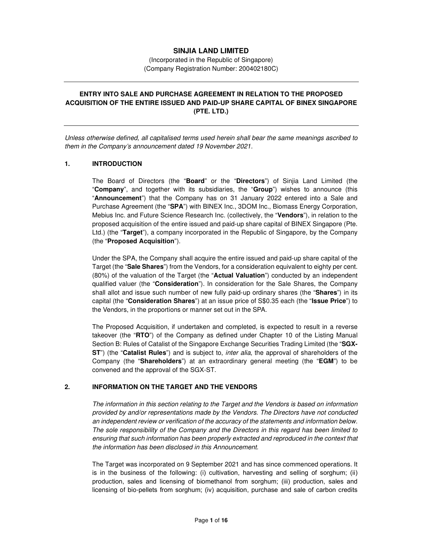## **SINJIA LAND LIMITED**

(Incorporated in the Republic of Singapore) (Company Registration Number: 200402180C)

# **ENTRY INTO SALE AND PURCHASE AGREEMENT IN RELATION TO THE PROPOSED ACQUISITION OF THE ENTIRE ISSUED AND PAID-UP SHARE CAPITAL OF BINEX SINGAPORE (PTE. LTD.)**

*Unless otherwise defined, all capitalised terms used herein shall bear the same meanings ascribed to them in the Company's announcement dated 19 November 2021.* 

#### **1. INTRODUCTION**

The Board of Directors (the "**Board**" or the "**Directors**") of Sinjia Land Limited (the "**Company**", and together with its subsidiaries, the "**Group**") wishes to announce (this "**Announcement**") that the Company has on 31 January 2022 entered into a Sale and Purchase Agreement (the "**SPA**") with BINEX Inc., 3DOM Inc., Biomass Energy Corporation, Mebius Inc. and Future Science Research Inc. (collectively, the "**Vendors**"), in relation to the proposed acquisition of the entire issued and paid-up share capital of BINEX Singapore (Pte. Ltd.) (the "**Target**"), a company incorporated in the Republic of Singapore, by the Company (the "**Proposed Acquisition**").

Under the SPA, the Company shall acquire the entire issued and paid-up share capital of the Target (the "**Sale Shares**") from the Vendors, for a consideration equivalent to eighty per cent. (80%) of the valuation of the Target (the "**Actual Valuation**") conducted by an independent qualified valuer (the "**Consideration**"). In consideration for the Sale Shares, the Company shall allot and issue such number of new fully paid-up ordinary shares (the "**Shares**") in its capital (the "**Consideration Shares**") at an issue price of S\$0.35 each (the "**Issue Price**") to the Vendors, in the proportions or manner set out in the SPA.

The Proposed Acquisition, if undertaken and completed, is expected to result in a reverse takeover (the "**RTO**") of the Company as defined under Chapter 10 of the Listing Manual Section B: Rules of Catalist of the Singapore Exchange Securities Trading Limited (the "**SGX-ST**") (the "**Catalist Rules**") and is subject to, *inter alia*, the approval of shareholders of the Company (the "**Shareholders**") at an extraordinary general meeting (the "**EGM**") to be convened and the approval of the SGX-ST.

## **2. INFORMATION ON THE TARGET AND THE VENDORS**

*The information in this section relating to the Target and the Vendors is based on information provided by and/or representations made by the Vendors. The Directors have not conducted an independent review or verification of the accuracy of the statements and information below. The sole responsibility of the Company and the Directors in this regard has been limited to*  ensuring that such information has been properly extracted and reproduced in the context that *the information has been disclosed in this Announcement.*

The Target was incorporated on 9 September 2021 and has since commenced operations. It is in the business of the following: (i) cultivation, harvesting and selling of sorghum; (ii) production, sales and licensing of biomethanol from sorghum; (iii) production, sales and licensing of bio-pellets from sorghum; (iv) acquisition, purchase and sale of carbon credits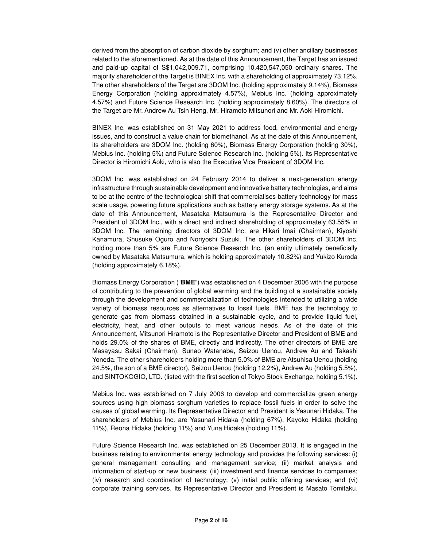derived from the absorption of carbon dioxide by sorghum; and (v) other ancillary businesses related to the aforementioned. As at the date of this Announcement, the Target has an issued and paid-up capital of S\$1,042,009.71, comprising 10,420,547,050 ordinary shares. The majority shareholder of the Target is BINEX Inc. with a shareholding of approximately 73.12%. The other shareholders of the Target are 3DOM Inc. (holding approximately 9.14%), Biomass Energy Corporation (holding approximately 4.57%), Mebius Inc. (holding approximately 4.57%) and Future Science Research Inc. (holding approximately 8.60%). The directors of the Target are Mr. Andrew Au Tsin Heng, Mr. Hiramoto Mitsunori and Mr. Aoki Hiromichi.

BINEX Inc. was established on 31 May 2021 to address food, environmental and energy issues, and to construct a value chain for biomethanol. As at the date of this Announcement, its shareholders are 3DOM Inc. (holding 60%), Biomass Energy Corporation (holding 30%), Mebius Inc. (holding 5%) and Future Science Research Inc. (holding 5%). Its Representative Director is Hiromichi Aoki, who is also the Executive Vice President of 3DOM Inc.

3DOM Inc. was established on 24 February 2014 to deliver a next-generation energy infrastructure through sustainable development and innovative battery technologies, and aims to be at the centre of the technological shift that commercialises battery technology for mass scale usage, powering future applications such as battery energy storage systems. As at the date of this Announcement, Masataka Matsumura is the Representative Director and President of 3DOM Inc., with a direct and indirect shareholding of approximately 63.55% in 3DOM Inc. The remaining directors of 3DOM Inc. are Hikari Imai (Chairman), Kiyoshi Kanamura, Shusuke Oguro and Noriyoshi Suzuki. The other shareholders of 3DOM Inc. holding more than 5% are Future Science Research Inc. (an entity ultimately beneficially owned by Masataka Matsumura, which is holding approximately 10.82%) and Yukizo Kuroda (holding approximately 6.18%).

Biomass Energy Corporation ("**BME**") was established on 4 December 2006 with the purpose of contributing to the prevention of global warming and the building of a sustainable society through the development and commercialization of technologies intended to utilizing a wide variety of biomass resources as alternatives to fossil fuels. BME has the technology to generate gas from biomass obtained in a sustainable cycle, and to provide liquid fuel, electricity, heat, and other outputs to meet various needs. As of the date of this Announcement, Mitsunori Hiramoto is the Representative Director and President of BME and holds 29.0% of the shares of BME, directly and indirectly. The other directors of BME are Masayasu Sakai (Chairman), Sunao Watanabe, Seizou Uenou, Andrew Au and Takashi Yoneda. The other shareholders holding more than 5.0% of BME are Atsuhisa Uenou (holding 24.5%, the son of a BME director), Seizou Uenou (holding 12.2%), Andrew Au (holding 5.5%), and SINTOKOGIO, LTD. (listed with the first section of Tokyo Stock Exchange, holding 5.1%).

Mebius Inc. was established on 7 July 2006 to develop and commercialize green energy sources using high biomass sorghum varieties to replace fossil fuels in order to solve the causes of global warming. Its Representative Director and President is Yasunari Hidaka. The shareholders of Mebius Inc. are Yasunari Hidaka (holding 67%), Kayoko Hidaka (holding 11%), Reona Hidaka (holding 11%) and Yuna Hidaka (holding 11%).

Future Science Research Inc. was established on 25 December 2013. It is engaged in the business relating to environmental energy technology and provides the following services: (i) general management consulting and management service; (ii) market analysis and information of start-up or new business; (iii) investment and finance services to companies; (iv) research and coordination of technology; (v) initial public offering services; and (vi) corporate training services. Its Representative Director and President is Masato Tomitaku.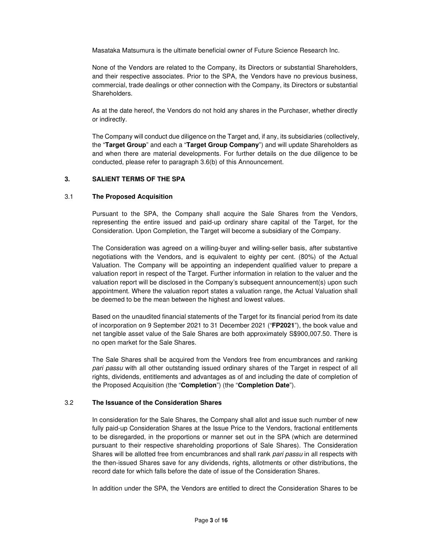Masataka Matsumura is the ultimate beneficial owner of Future Science Research Inc.

None of the Vendors are related to the Company, its Directors or substantial Shareholders, and their respective associates. Prior to the SPA, the Vendors have no previous business, commercial, trade dealings or other connection with the Company, its Directors or substantial Shareholders.

As at the date hereof, the Vendors do not hold any shares in the Purchaser, whether directly or indirectly.

The Company will conduct due diligence on the Target and, if any, its subsidiaries (collectively, the "**Target Group**" and each a "**Target Group Company**") and will update Shareholders as and when there are material developments. For further details on the due diligence to be conducted, please refer to paragraph 3.6(b) of this Announcement.

#### **3. SALIENT TERMS OF THE SPA**

#### 3.1 **The Proposed Acquisition**

Pursuant to the SPA, the Company shall acquire the Sale Shares from the Vendors, representing the entire issued and paid-up ordinary share capital of the Target, for the Consideration. Upon Completion, the Target will become a subsidiary of the Company.

The Consideration was agreed on a willing-buyer and willing-seller basis, after substantive negotiations with the Vendors, and is equivalent to eighty per cent. (80%) of the Actual Valuation. The Company will be appointing an independent qualified valuer to prepare a valuation report in respect of the Target. Further information in relation to the valuer and the valuation report will be disclosed in the Company's subsequent announcement(s) upon such appointment. Where the valuation report states a valuation range, the Actual Valuation shall be deemed to be the mean between the highest and lowest values.

Based on the unaudited financial statements of the Target for its financial period from its date of incorporation on 9 September 2021 to 31 December 2021 ("**FP2021**"), the book value and net tangible asset value of the Sale Shares are both approximately S\$900,007.50. There is no open market for the Sale Shares.

The Sale Shares shall be acquired from the Vendors free from encumbrances and ranking *pari passu* with all other outstanding issued ordinary shares of the Target in respect of all rights, dividends, entitlements and advantages as of and including the date of completion of the Proposed Acquisition (the "**Completion**") (the "**Completion Date**").

#### 3.2 **The Issuance of the Consideration Shares**

In consideration for the Sale Shares, the Company shall allot and issue such number of new fully paid-up Consideration Shares at the Issue Price to the Vendors, fractional entitlements to be disregarded, in the proportions or manner set out in the SPA (which are determined pursuant to their respective shareholding proportions of Sale Shares). The Consideration Shares will be allotted free from encumbrances and shall rank *pari passu* in all respects with the then-issued Shares save for any dividends, rights, allotments or other distributions, the record date for which falls before the date of issue of the Consideration Shares.

In addition under the SPA, the Vendors are entitled to direct the Consideration Shares to be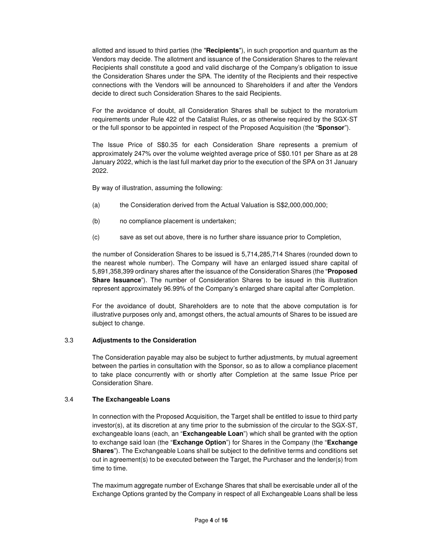allotted and issued to third parties (the "**Recipients**"), in such proportion and quantum as the Vendors may decide. The allotment and issuance of the Consideration Shares to the relevant Recipients shall constitute a good and valid discharge of the Company's obligation to issue the Consideration Shares under the SPA. The identity of the Recipients and their respective connections with the Vendors will be announced to Shareholders if and after the Vendors decide to direct such Consideration Shares to the said Recipients.

For the avoidance of doubt, all Consideration Shares shall be subject to the moratorium requirements under Rule 422 of the Catalist Rules, or as otherwise required by the SGX-ST or the full sponsor to be appointed in respect of the Proposed Acquisition (the "**Sponsor**").

The Issue Price of S\$0.35 for each Consideration Share represents a premium of approximately 247% over the volume weighted average price of S\$0.101 per Share as at 28 January 2022, which is the last full market day prior to the execution of the SPA on 31 January 2022.

By way of illustration, assuming the following:

- (a) the Consideration derived from the Actual Valuation is S\$2,000,000,000;
- (b) no compliance placement is undertaken;
- (c) save as set out above, there is no further share issuance prior to Completion,

the number of Consideration Shares to be issued is 5,714,285,714 Shares (rounded down to the nearest whole number). The Company will have an enlarged issued share capital of 5,891,358,399 ordinary shares after the issuance of the Consideration Shares (the "**Proposed Share Issuance**"). The number of Consideration Shares to be issued in this illustration represent approximately 96.99% of the Company's enlarged share capital after Completion.

For the avoidance of doubt, Shareholders are to note that the above computation is for illustrative purposes only and, amongst others, the actual amounts of Shares to be issued are subject to change.

## 3.3 **Adjustments to the Consideration**

The Consideration payable may also be subject to further adjustments, by mutual agreement between the parties in consultation with the Sponsor, so as to allow a compliance placement to take place concurrently with or shortly after Completion at the same Issue Price per Consideration Share.

### 3.4 **The Exchangeable Loans**

In connection with the Proposed Acquisition, the Target shall be entitled to issue to third party investor(s), at its discretion at any time prior to the submission of the circular to the SGX-ST, exchangeable loans (each, an "**Exchangeable Loan**") which shall be granted with the option to exchange said loan (the "**Exchange Option**") for Shares in the Company (the "**Exchange Shares**"). The Exchangeable Loans shall be subject to the definitive terms and conditions set out in agreement(s) to be executed between the Target, the Purchaser and the lender(s) from time to time.

The maximum aggregate number of Exchange Shares that shall be exercisable under all of the Exchange Options granted by the Company in respect of all Exchangeable Loans shall be less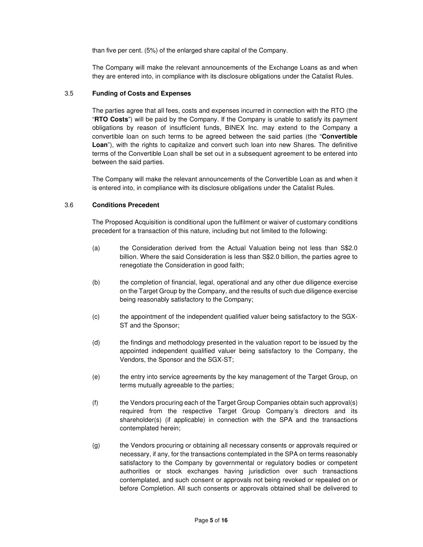than five per cent. (5%) of the enlarged share capital of the Company.

The Company will make the relevant announcements of the Exchange Loans as and when they are entered into, in compliance with its disclosure obligations under the Catalist Rules.

### 3.5 **Funding of Costs and Expenses**

The parties agree that all fees, costs and expenses incurred in connection with the RTO (the "**RTO Costs**") will be paid by the Company. If the Company is unable to satisfy its payment obligations by reason of insufficient funds, BINEX Inc. may extend to the Company a convertible loan on such terms to be agreed between the said parties (the "**Convertible**  Loan"), with the rights to capitalize and convert such loan into new Shares. The definitive terms of the Convertible Loan shall be set out in a subsequent agreement to be entered into between the said parties.

The Company will make the relevant announcements of the Convertible Loan as and when it is entered into, in compliance with its disclosure obligations under the Catalist Rules.

### 3.6 **Conditions Precedent**

The Proposed Acquisition is conditional upon the fulfilment or waiver of customary conditions precedent for a transaction of this nature, including but not limited to the following:

- (a) the Consideration derived from the Actual Valuation being not less than S\$2.0 billion. Where the said Consideration is less than S\$2.0 billion, the parties agree to renegotiate the Consideration in good faith;
- (b) the completion of financial, legal, operational and any other due diligence exercise on the Target Group by the Company, and the results of such due diligence exercise being reasonably satisfactory to the Company;
- (c) the appointment of the independent qualified valuer being satisfactory to the SGX-ST and the Sponsor;
- (d) the findings and methodology presented in the valuation report to be issued by the appointed independent qualified valuer being satisfactory to the Company, the Vendors, the Sponsor and the SGX-ST;
- (e) the entry into service agreements by the key management of the Target Group, on terms mutually agreeable to the parties;
- (f) the Vendors procuring each of the Target Group Companies obtain such approval(s) required from the respective Target Group Company's directors and its shareholder(s) (if applicable) in connection with the SPA and the transactions contemplated herein;
- (g) the Vendors procuring or obtaining all necessary consents or approvals required or necessary, if any, for the transactions contemplated in the SPA on terms reasonably satisfactory to the Company by governmental or regulatory bodies or competent authorities or stock exchanges having jurisdiction over such transactions contemplated, and such consent or approvals not being revoked or repealed on or before Completion. All such consents or approvals obtained shall be delivered to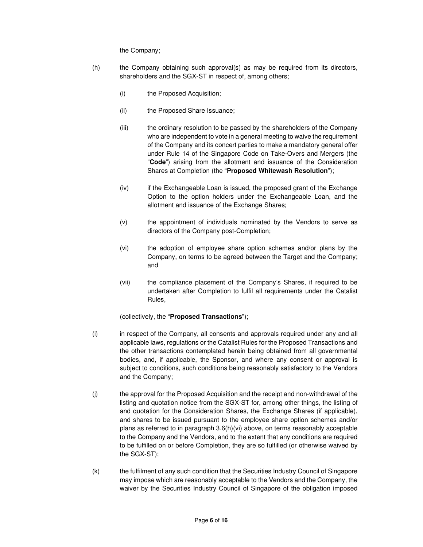the Company;

- (h) the Company obtaining such approval(s) as may be required from its directors, shareholders and the SGX-ST in respect of, among others;
	- (i) the Proposed Acquisition;
	- (ii) the Proposed Share Issuance;
	- (iii) the ordinary resolution to be passed by the shareholders of the Company who are independent to vote in a general meeting to waive the requirement of the Company and its concert parties to make a mandatory general offer under Rule 14 of the Singapore Code on Take-Overs and Mergers (the "**Code**") arising from the allotment and issuance of the Consideration Shares at Completion (the "**Proposed Whitewash Resolution**");
	- (iv) if the Exchangeable Loan is issued, the proposed grant of the Exchange Option to the option holders under the Exchangeable Loan, and the allotment and issuance of the Exchange Shares;
	- (v) the appointment of individuals nominated by the Vendors to serve as directors of the Company post-Completion;
	- (vi) the adoption of employee share option schemes and/or plans by the Company, on terms to be agreed between the Target and the Company; and
	- (vii) the compliance placement of the Company's Shares, if required to be undertaken after Completion to fulfil all requirements under the Catalist Rules,

(collectively, the "**Proposed Transactions**");

- (i) in respect of the Company, all consents and approvals required under any and all applicable laws, regulations or the Catalist Rules for the Proposed Transactions and the other transactions contemplated herein being obtained from all governmental bodies, and, if applicable, the Sponsor, and where any consent or approval is subject to conditions, such conditions being reasonably satisfactory to the Vendors and the Company;
- (j) the approval for the Proposed Acquisition and the receipt and non-withdrawal of the listing and quotation notice from the SGX-ST for, among other things, the listing of and quotation for the Consideration Shares, the Exchange Shares (if applicable), and shares to be issued pursuant to the employee share option schemes and/or plans as referred to in paragraph  $3.6(h)(vi)$  above, on terms reasonably acceptable to the Company and the Vendors, and to the extent that any conditions are required to be fulfilled on or before Completion, they are so fulfilled (or otherwise waived by the SGX-ST);
- (k) the fulfilment of any such condition that the Securities Industry Council of Singapore may impose which are reasonably acceptable to the Vendors and the Company, the waiver by the Securities Industry Council of Singapore of the obligation imposed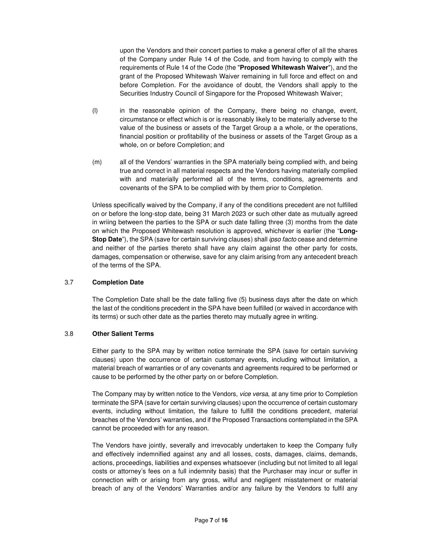upon the Vendors and their concert parties to make a general offer of all the shares of the Company under Rule 14 of the Code, and from having to comply with the requirements of Rule 14 of the Code (the "**Proposed Whitewash Waiver**"), and the grant of the Proposed Whitewash Waiver remaining in full force and effect on and before Completion. For the avoidance of doubt, the Vendors shall apply to the Securities Industry Council of Singapore for the Proposed Whitewash Waiver;

- (l) in the reasonable opinion of the Company, there being no change, event, circumstance or effect which is or is reasonably likely to be materially adverse to the value of the business or assets of the Target Group a a whole, or the operations, financial position or profitability of the business or assets of the Target Group as a whole, on or before Completion; and
- (m) all of the Vendors' warranties in the SPA materially being complied with, and being true and correct in all material respects and the Vendors having materially complied with and materially performed all of the terms, conditions, agreements and covenants of the SPA to be complied with by them prior to Completion.

Unless specifically waived by the Company, if any of the conditions precedent are not fulfilled on or before the long-stop date, being 31 March 2023 or such other date as mutually agreed in wriing between the parties to the SPA or such date falling three (3) months from the date on which the Proposed Whitewash resolution is approved, whichever is earlier (the "**Long-Stop Date**"), the SPA (save for certain surviving clauses) shall *ipso facto* cease and determine and neither of the parties thereto shall have any claim against the other party for costs, damages, compensation or otherwise, save for any claim arising from any antecedent breach of the terms of the SPA.

## 3.7 **Completion Date**

The Completion Date shall be the date falling five (5) business days after the date on which the last of the conditions precedent in the SPA have been fulfilled (or waived in accordance with its terms) or such other date as the parties thereto may mutually agree in writing.

## 3.8 **Other Salient Terms**

Either party to the SPA may by written notice terminate the SPA (save for certain surviving clauses) upon the occurrence of certain customary events, including without limitation, a material breach of warranties or of any covenants and agreements required to be performed or cause to be performed by the other party on or before Completion.

The Company may by written notice to the Vendors, *vice versa*, at any time prior to Completion terminate the SPA (save for certain surviving clauses) upon the occurrence of certain customary events, including without limitation, the failure to fulfill the conditions precedent, material breaches of the Vendors' warranties, and if the Proposed Transactions contemplated in the SPA cannot be proceeded with for any reason.

The Vendors have jointly, severally and irrevocably undertaken to keep the Company fully and effectively indemnified against any and all losses, costs, damages, claims, demands, actions, proceedings, liabilities and expenses whatsoever (including but not limited to all legal costs or attorney's fees on a full indemnity basis) that the Purchaser may incur or suffer in connection with or arising from any gross, wilful and negligent misstatement or material breach of any of the Vendors' Warranties and/or any failure by the Vendors to fulfil any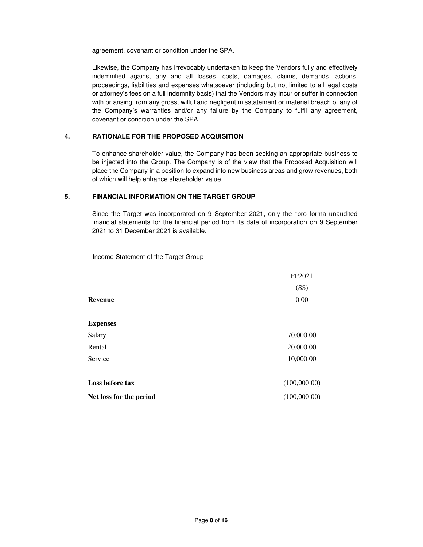agreement, covenant or condition under the SPA.

Likewise, the Company has irrevocably undertaken to keep the Vendors fully and effectively indemnified against any and all losses, costs, damages, claims, demands, actions, proceedings, liabilities and expenses whatsoever (including but not limited to all legal costs or attorney's fees on a full indemnity basis) that the Vendors may incur or suffer in connection with or arising from any gross, wilful and negligent misstatement or material breach of any of the Company's warranties and/or any failure by the Company to fulfil any agreement, covenant or condition under the SPA.

## **4. RATIONALE FOR THE PROPOSED ACQUISITION**

To enhance shareholder value, the Company has been seeking an appropriate business to be injected into the Group. The Company is of the view that the Proposed Acquisition will place the Company in a position to expand into new business areas and grow revenues, both of which will help enhance shareholder value.

#### **5. FINANCIAL INFORMATION ON THE TARGET GROUP**

Since the Target was incorporated on 9 September 2021, only the \*pro forma unaudited financial statements for the financial period from its date of incorporation on 9 September 2021 to 31 December 2021 is available.

Income Statement of the Target Group

| Net loss for the period | (100,000.00) |
|-------------------------|--------------|
| Loss before tax         | (100,000.00) |
| Service                 | 10,000.00    |
|                         |              |
| Rental                  | 20,000.00    |
| Salary                  | 70,000.00    |
| <b>Expenses</b>         |              |
| <b>Revenue</b>          | 0.00         |
|                         |              |
|                         | (S\$)        |
|                         | FP2021       |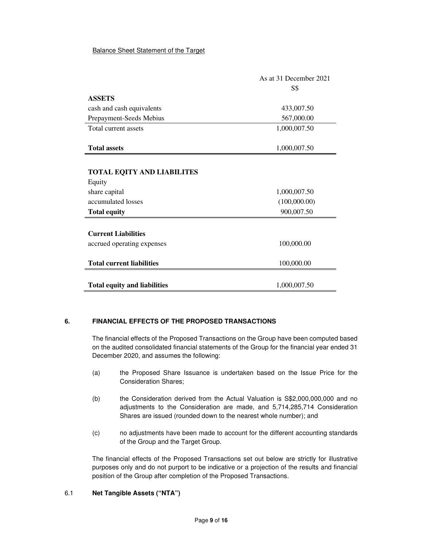## Balance Sheet Statement of the Target

|                                     | As at 31 December 2021 |
|-------------------------------------|------------------------|
|                                     | <b>S\$</b>             |
| <b>ASSETS</b>                       |                        |
| cash and cash equivalents           | 433,007.50             |
| Prepayment-Seeds Mebius             | 567,000.00             |
| Total current assets                | 1,000,007.50           |
|                                     |                        |
| <b>Total assets</b>                 | 1,000,007.50           |
|                                     |                        |
| <b>TOTAL EQITY AND LIABILITES</b>   |                        |
| Equity                              |                        |
| share capital                       | 1,000,007.50           |
| accumulated losses                  | (100,000.00)           |
| <b>Total equity</b>                 | 900,007.50             |
|                                     |                        |
| <b>Current Liabilities</b>          |                        |
| accrued operating expenses          | 100,000.00             |
|                                     |                        |
| <b>Total current liabilities</b>    | 100,000.00             |
|                                     |                        |
| <b>Total equity and liabilities</b> | 1,000,007.50           |

## **6. FINANCIAL EFFECTS OF THE PROPOSED TRANSACTIONS**

The financial effects of the Proposed Transactions on the Group have been computed based on the audited consolidated financial statements of the Group for the financial year ended 31 December 2020, and assumes the following:

- (a) the Proposed Share Issuance is undertaken based on the Issue Price for the Consideration Shares;
- (b) the Consideration derived from the Actual Valuation is S\$2,000,000,000 and no adjustments to the Consideration are made, and 5,714,285,714 Consideration Shares are issued (rounded down to the nearest whole number); and
- (c) no adjustments have been made to account for the different accounting standards of the Group and the Target Group.

The financial effects of the Proposed Transactions set out below are strictly for illustrative purposes only and do not purport to be indicative or a projection of the results and financial position of the Group after completion of the Proposed Transactions.

## 6.1 **Net Tangible Assets ("NTA")**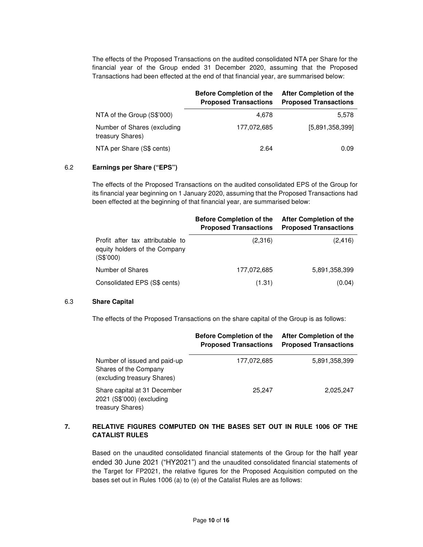The effects of the Proposed Transactions on the audited consolidated NTA per Share for the financial year of the Group ended 31 December 2020, assuming that the Proposed Transactions had been effected at the end of that financial year, are summarised below:

|                                                 | <b>Before Completion of the</b><br><b>Proposed Transactions</b> | After Completion of the<br><b>Proposed Transactions</b> |
|-------------------------------------------------|-----------------------------------------------------------------|---------------------------------------------------------|
| NTA of the Group (S\$'000)                      | 4.678                                                           | 5,578                                                   |
| Number of Shares (excluding<br>treasury Shares) | 177.072.685                                                     | [5,891,358,399]                                         |
| NTA per Share (S\$ cents)                       | 2.64                                                            | 0.09                                                    |

#### 6.2 **Earnings per Share ("EPS")**

The effects of the Proposed Transactions on the audited consolidated EPS of the Group for its financial year beginning on 1 January 2020, assuming that the Proposed Transactions had been effected at the beginning of that financial year, are summarised below:

|                                                                                | <b>Before Completion of the</b><br><b>Proposed Transactions</b> | After Completion of the<br><b>Proposed Transactions</b> |
|--------------------------------------------------------------------------------|-----------------------------------------------------------------|---------------------------------------------------------|
| Profit after tax attributable to<br>equity holders of the Company<br>(S\$'000) | (2,316)                                                         | (2, 416)                                                |
| Number of Shares                                                               | 177,072,685                                                     | 5,891,358,399                                           |
| Consolidated EPS (S\$ cents)                                                   | (1.31)                                                          | (0.04)                                                  |

#### 6.3 **Share Capital**

The effects of the Proposed Transactions on the share capital of the Group is as follows:

|                                                                                      | <b>Before Completion of the</b><br><b>Proposed Transactions</b> | <b>After Completion of the</b><br><b>Proposed Transactions</b> |
|--------------------------------------------------------------------------------------|-----------------------------------------------------------------|----------------------------------------------------------------|
| Number of issued and paid-up<br>Shares of the Company<br>(excluding treasury Shares) | 177,072,685                                                     | 5,891,358,399                                                  |
| Share capital at 31 December<br>2021 (S\$'000) (excluding<br>treasury Shares)        | 25.247                                                          | 2,025,247                                                      |

## **7. RELATIVE FIGURES COMPUTED ON THE BASES SET OUT IN RULE 1006 OF THE CATALIST RULES**

Based on the unaudited consolidated financial statements of the Group for the half year ended 30 June 2021 ("HY2021") and the unaudited consolidated financial statements of the Target for FP2021, the relative figures for the Proposed Acquisition computed on the bases set out in Rules 1006 (a) to (e) of the Catalist Rules are as follows: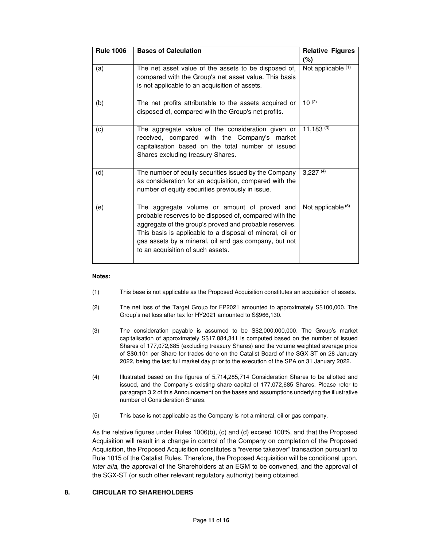| <b>Rule 1006</b> | <b>Bases of Calculation</b>                                                                                                                                                                                                                                                                                                 | <b>Relative Figures</b><br>$(\%)$ |
|------------------|-----------------------------------------------------------------------------------------------------------------------------------------------------------------------------------------------------------------------------------------------------------------------------------------------------------------------------|-----------------------------------|
| (a)              | The net asset value of the assets to be disposed of,<br>compared with the Group's net asset value. This basis<br>is not applicable to an acquisition of assets.                                                                                                                                                             | Not applicable (1)                |
| (b)              | The net profits attributable to the assets acquired or<br>disposed of, compared with the Group's net profits.                                                                                                                                                                                                               | $10^{(2)}$                        |
| (c)              | The aggregate value of the consideration given or<br>received, compared with the Company's market<br>capitalisation based on the total number of issued<br>Shares excluding treasury Shares.                                                                                                                                | 11,183(3)                         |
| (d)              | The number of equity securities issued by the Company<br>as consideration for an acquisition, compared with the<br>number of equity securities previously in issue.                                                                                                                                                         | 3,227(4)                          |
| (e)              | The aggregate volume or amount of proved and<br>probable reserves to be disposed of, compared with the<br>aggregate of the group's proved and probable reserves.<br>This basis is applicable to a disposal of mineral, oil or<br>gas assets by a mineral, oil and gas company, but not<br>to an acquisition of such assets. | Not applicable (5)                |

#### **Notes:**

- (1) This base is not applicable as the Proposed Acquisition constitutes an acquisition of assets.
- (2) The net loss of the Target Group for FP2021 amounted to approximately S\$100,000. The Group's net loss after tax for HY2021 amounted to S\$966,130.
- (3) The consideration payable is assumed to be S\$2,000,000,000. The Group's market capitalisation of approximately S\$17,884,341 is computed based on the number of issued Shares of 177,072,685 (excluding treasury Shares) and the volume weighted average price of S\$0.101 per Share for trades done on the Catalist Board of the SGX-ST on 28 January 2022, being the last full market day prior to the execution of the SPA on 31 January 2022.
- (4) Illustrated based on the figures of 5,714,285,714 Consideration Shares to be allotted and issued, and the Company's existing share capital of 177,072,685 Shares. Please refer to paragraph 3.2 of this Announcement on the bases and assumptions underlying the illustrative number of Consideration Shares.
- (5) This base is not applicable as the Company is not a mineral, oil or gas company.

As the relative figures under Rules 1006(b), (c) and (d) exceed 100%, and that the Proposed Acquisition will result in a change in control of the Company on completion of the Proposed Acquisition, the Proposed Acquisition constitutes a "reverse takeover" transaction pursuant to Rule 1015 of the Catalist Rules. Therefore, the Proposed Acquisition will be conditional upon, *inter alia*, the approval of the Shareholders at an EGM to be convened, and the approval of the SGX-ST (or such other relevant regulatory authority) being obtained.

## **8. CIRCULAR TO SHAREHOLDERS**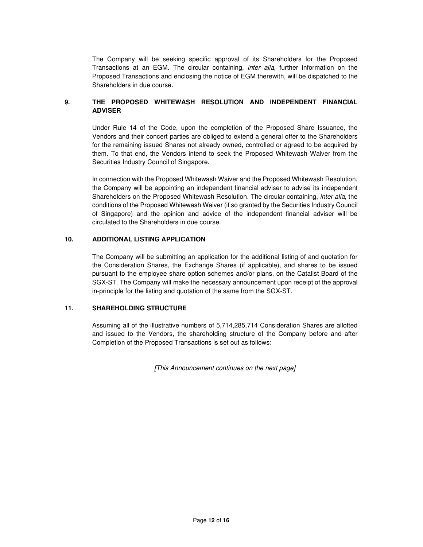The Company will be seeking specific approval of its Shareholders for the Proposed Transactions at an EGM. The circular containing, *inter alia*, further information on the Proposed Transactions and enclosing the notice of EGM therewith, will be dispatched to the Shareholders in due course.

## **9. THE PROPOSED WHITEWASH RESOLUTION AND INDEPENDENT FINANCIAL ADVISER**

Under Rule 14 of the Code, upon the completion of the Proposed Share Issuance, the Vendors and their concert parties are obliged to extend a general offer to the Shareholders for the remaining issued Shares not already owned, controlled or agreed to be acquired by them. To that end, the Vendors intend to seek the Proposed Whitewash Waiver from the Securities Industry Council of Singapore.

In connection with the Proposed Whitewash Waiver and the Proposed Whitewash Resolution, the Company will be appointing an independent financial adviser to advise its independent Shareholders on the Proposed Whitewash Resolution. The circular containing, *inter alia*, the conditions of the Proposed Whitewash Waiver (if so granted by the Securities Industry Council of Singapore) and the opinion and advice of the independent financial adviser will be circulated to the Shareholders in due course.

## **10. ADDITIONAL LISTING APPLICATION**

The Company will be submitting an application for the additional listing of and quotation for the Consideration Shares, the Exchange Shares (if applicable), and shares to be issued pursuant to the employee share option schemes and/or plans, on the Catalist Board of the SGX-ST. The Company will make the necessary announcement upon receipt of the approval in-principle for the listing and quotation of the same from the SGX-ST.

## **11. SHAREHOLDING STRUCTURE**

Assuming all of the illustrative numbers of 5,714,285,714 Consideration Shares are allotted and issued to the Vendors, the shareholding structure of the Company before and after Completion of the Proposed Transactions is set out as follows:

*[This Announcement continues on the next page]*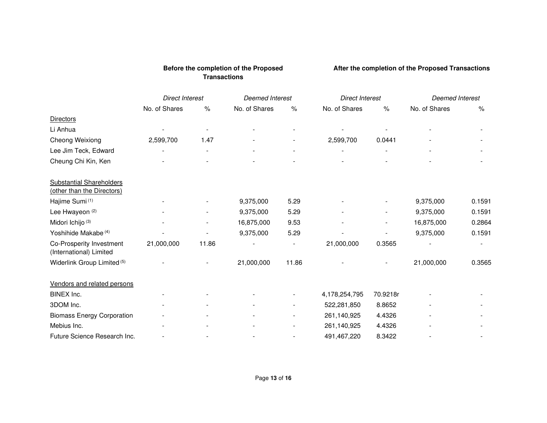|                                                               | <b>Direct Interest</b> |                | <b>Deemed Interest</b> |       | <b>Direct Interest</b>   |          | Deemed Interest |        |
|---------------------------------------------------------------|------------------------|----------------|------------------------|-------|--------------------------|----------|-----------------|--------|
|                                                               | No. of Shares          | $\%$           | No. of Shares          | $\%$  | No. of Shares            | $\%$     | No. of Shares   | $\%$   |
| <b>Directors</b>                                              |                        |                |                        |       |                          |          |                 |        |
| Li Anhua                                                      |                        | $\overline{a}$ |                        |       |                          |          |                 |        |
| Cheong Weixiong                                               | 2,599,700              | 1.47           |                        |       | 2,599,700                | 0.0441   |                 |        |
| Lee Jim Teck, Edward                                          |                        | $\overline{a}$ |                        |       | $\overline{\phantom{0}}$ |          |                 |        |
| Cheung Chi Kin, Ken                                           |                        |                |                        |       |                          |          |                 |        |
| <b>Substantial Shareholders</b><br>(other than the Directors) |                        |                |                        |       |                          |          |                 |        |
| Hajime Sumi <sup>(1)</sup>                                    |                        |                | 9,375,000              | 5.29  |                          |          | 9,375,000       | 0.1591 |
| Lee Hwayeon <sup>(2)</sup>                                    |                        |                | 9,375,000              | 5.29  |                          |          | 9,375,000       | 0.1591 |
| Midori Ichijo (3)                                             |                        |                | 16,875,000             | 9.53  |                          |          | 16,875,000      | 0.2864 |
| Yoshihide Makabe <sup>(4)</sup>                               |                        |                | 9,375,000              | 5.29  |                          |          | 9,375,000       | 0.1591 |
| Co-Prosperity Investment<br>(International) Limited           | 21,000,000             | 11.86          |                        |       | 21,000,000               | 0.3565   |                 |        |
| Widerlink Group Limited <sup>(5)</sup>                        |                        |                | 21,000,000             | 11.86 |                          |          | 21,000,000      | 0.3565 |
| Vendors and related persons                                   |                        |                |                        |       |                          |          |                 |        |
| BINEX Inc.                                                    |                        |                |                        |       | 4,178,254,795            | 70.9218r |                 |        |
| 3DOM Inc.                                                     |                        |                |                        |       | 522,281,850              | 8.8652   |                 |        |
| <b>Biomass Energy Corporation</b>                             |                        |                |                        |       | 261,140,925              | 4.4326   |                 |        |
| Mebius Inc.                                                   |                        |                |                        |       | 261,140,925              | 4.4326   |                 |        |
| Future Science Research Inc.                                  |                        |                |                        |       | 491,467,220              | 8.3422   |                 |        |

# **Before the completion of the Proposed Transactions**

 **After the completion of the Proposed Transactions**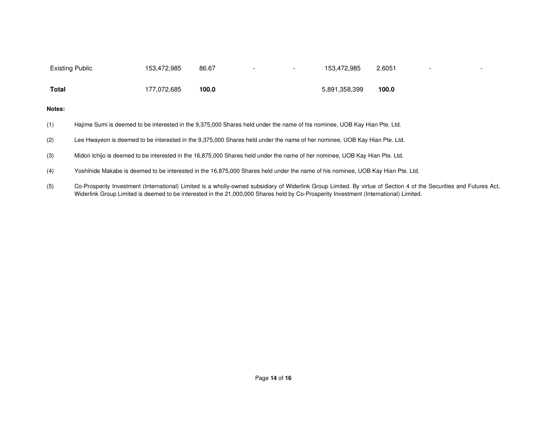| <b>Existing Public</b> |                                                                                                                           | 153,472,985 | 86.67                                                                                                                           | 153,472,985   | 2.6051 |  |  |
|------------------------|---------------------------------------------------------------------------------------------------------------------------|-------------|---------------------------------------------------------------------------------------------------------------------------------|---------------|--------|--|--|
| Total                  |                                                                                                                           | 177,072,685 | 100.0                                                                                                                           | 5,891,358,399 | 100.0  |  |  |
| Notes:                 |                                                                                                                           |             |                                                                                                                                 |               |        |  |  |
| (1)                    |                                                                                                                           |             | Hajime Sumi is deemed to be interested in the 9,375,000 Shares held under the name of his nominee, UOB Kay Hian Pte. Ltd.       |               |        |  |  |
| (2)                    | Lee Hwayeon is deemed to be interested in the 9,375,000 Shares held under the name of her nominee, UOB Kay Hian Pte. Ltd. |             |                                                                                                                                 |               |        |  |  |
| (3)                    |                                                                                                                           |             | Midori Ichijo is deemed to be interested in the 16,875,000 Shares held under the name of her nominee, UOB Kay Hian Pte. Ltd.    |               |        |  |  |
| (4)                    |                                                                                                                           |             | Yoshihide Makabe is deemed to be interested in the 16,875,000 Shares held under the name of his nominee. UOB Kay Hian Pte. Ltd. |               |        |  |  |
|                        |                                                                                                                           |             |                                                                                                                                 |               |        |  |  |

(5) Co-Prosperity Investment (International) Limited is a wholly-owned subsidiary of Widerlink Group Limited. By virtue of Section 4 of the Securities and Futures Act, Widerlink Group Limited is deemed to be interested in the 21,000,000 Shares held by Co-Prosperity Investment (International) Limited.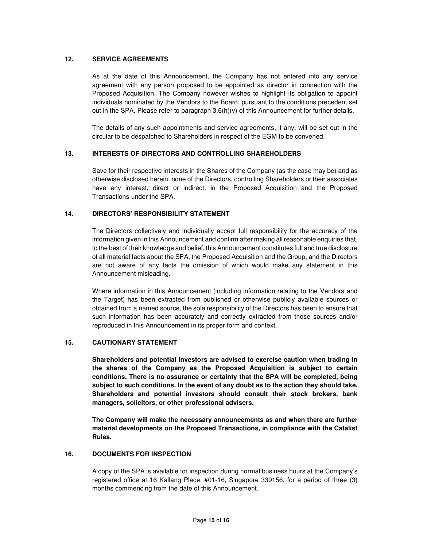## **12. SERVICE AGREEMENTS**

As at the date of this Announcement, the Company has not entered into any service agreement with any person proposed to be appointed as director in connection with the Proposed Acquisition. The Company however wishes to highlight its obligation to appoint individuals nominated by the Vendors to the Board, pursuant to the conditions precedent set out in the SPA. Please refer to paragraph  $3.6(h)(v)$  of this Announcement for further details.

The details of any such appointments and service agreements, if any, will be set out in the circular to be despatched to Shareholders in respect of the EGM to be convened.

## **13. INTERESTS OF DIRECTORS AND CONTROLLING SHAREHOLDERS**

Save for their respective interests in the Shares of the Company (as the case may be) and as otherwise disclosed herein, none of the Directors, controlling Shareholders or their associates have any interest, direct or indirect, in the Proposed Acquisition and the Proposed Transactions under the SPA.

## **14. DIRECTORS' RESPONSIBILITY STATEMENT**

The Directors collectively and individually accept full responsibility for the accuracy of the information given in this Announcement and confirm after making all reasonable enquiries that, to the best of their knowledge and belief, this Announcement constitutes full and true disclosure of all material facts about the SPA, the Proposed Acquisition and the Group, and the Directors are not aware of any facts the omission of which would make any statement in this Announcement misleading.

Where information in this Announcement (including information relating to the Vendors and the Target) has been extracted from published or otherwise publicly available sources or obtained from a named source, the sole responsibility of the Directors has been to ensure that such information has been accurately and correctly extracted from those sources and/or reproduced in this Announcement in its proper form and context.

## **15. CAUTIONARY STATEMENT**

**Shareholders and potential investors are advised to exercise caution when trading in the shares of the Company as the Proposed Acquisition is subject to certain conditions. There is no assurance or certainty that the SPA will be completed, being subject to such conditions. In the event of any doubt as to the action they should take, Shareholders and potential investors should consult their stock brokers, bank managers, solicitors, or other professional advisers.** 

**The Company will make the necessary announcements as and when there are further material developments on the Proposed Transactions, in compliance with the Catalist Rules.** 

## **16. DOCUMENTS FOR INSPECTION**

A copy of the SPA is available for inspection during normal business hours at the Company's registered office at 16 Kallang Place, #01-16, Singapore 339156, for a period of three (3) months commencing from the date of this Announcement.